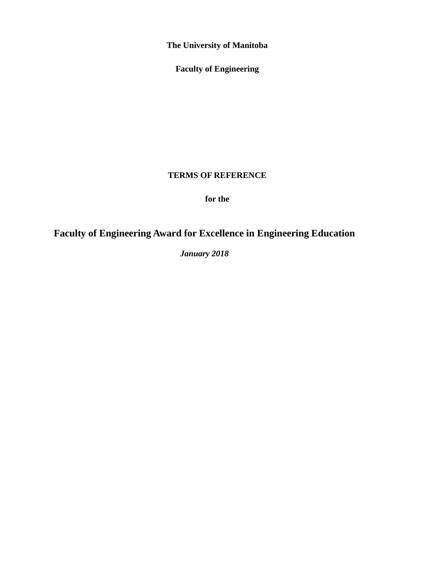**The University of Manitoba**

**Faculty of Engineering**

### **TERMS OF REFERENCE**

**for the**

# **Faculty of Engineering Award for Excellence in Engineering Education**

*January 2018*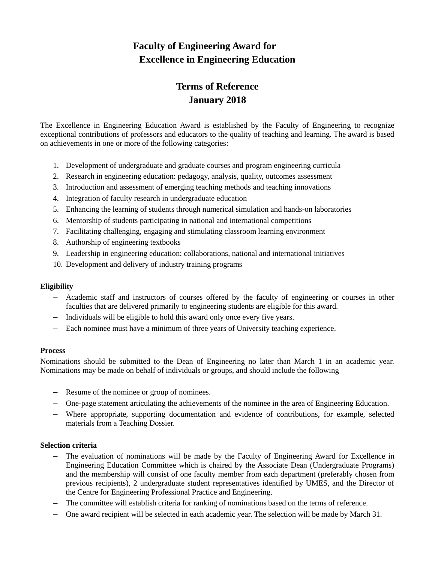### **Faculty of Engineering Award for Excellence in Engineering Education**

## **Terms of Reference January 2018**

The Excellence in Engineering Education Award is established by the Faculty of Engineering to recognize exceptional contributions of professors and educators to the quality of teaching and learning. The award is based on achievements in one or more of the following categories:

- 1. Development of undergraduate and graduate courses and program engineering curricula
- 2. Research in engineering education: pedagogy, analysis, quality, outcomes assessment
- 3. Introduction and assessment of emerging teaching methods and teaching innovations
- 4. Integration of faculty research in undergraduate education
- 5. Enhancing the learning of students through numerical simulation and hands-on laboratories
- 6. Mentorship of students participating in national and international competitions
- 7. Facilitating challenging, engaging and stimulating classroom learning environment
- 8. Authorship of engineering textbooks
- 9. Leadership in engineering education: collaborations, national and international initiatives
- 10. Development and delivery of industry training programs

#### **Eligibility**

- ─ Academic staff and instructors of courses offered by the faculty of engineering or courses in other faculties that are delivered primarily to engineering students are eligible for this award.
- ─ Individuals will be eligible to hold this award only once every five years.
- ─ Each nominee must have a minimum of three years of University teaching experience.

#### **Process**

Nominations should be submitted to the Dean of Engineering no later than March 1 in an academic year. Nominations may be made on behalf of individuals or groups, and should include the following

- ─ Resume of the nominee or group of nominees.
- ─ One-page statement articulating the achievements of the nominee in the area of Engineering Education.
- ─ Where appropriate, supporting documentation and evidence of contributions, for example, selected materials from a Teaching Dossier.

#### **Selection criteria**

- The evaluation of nominations will be made by the Faculty of Engineering Award for Excellence in Engineering Education Committee which is chaired by the Associate Dean (Undergraduate Programs) and the membership will consist of one faculty member from each department (preferably chosen from previous recipients), 2 undergraduate student representatives identified by UMES, and the Director of the Centre for Engineering Professional Practice and Engineering.
- ─ The committee will establish criteria for ranking of nominations based on the terms of reference.
- ─ One award recipient will be selected in each academic year. The selection will be made by March 31.